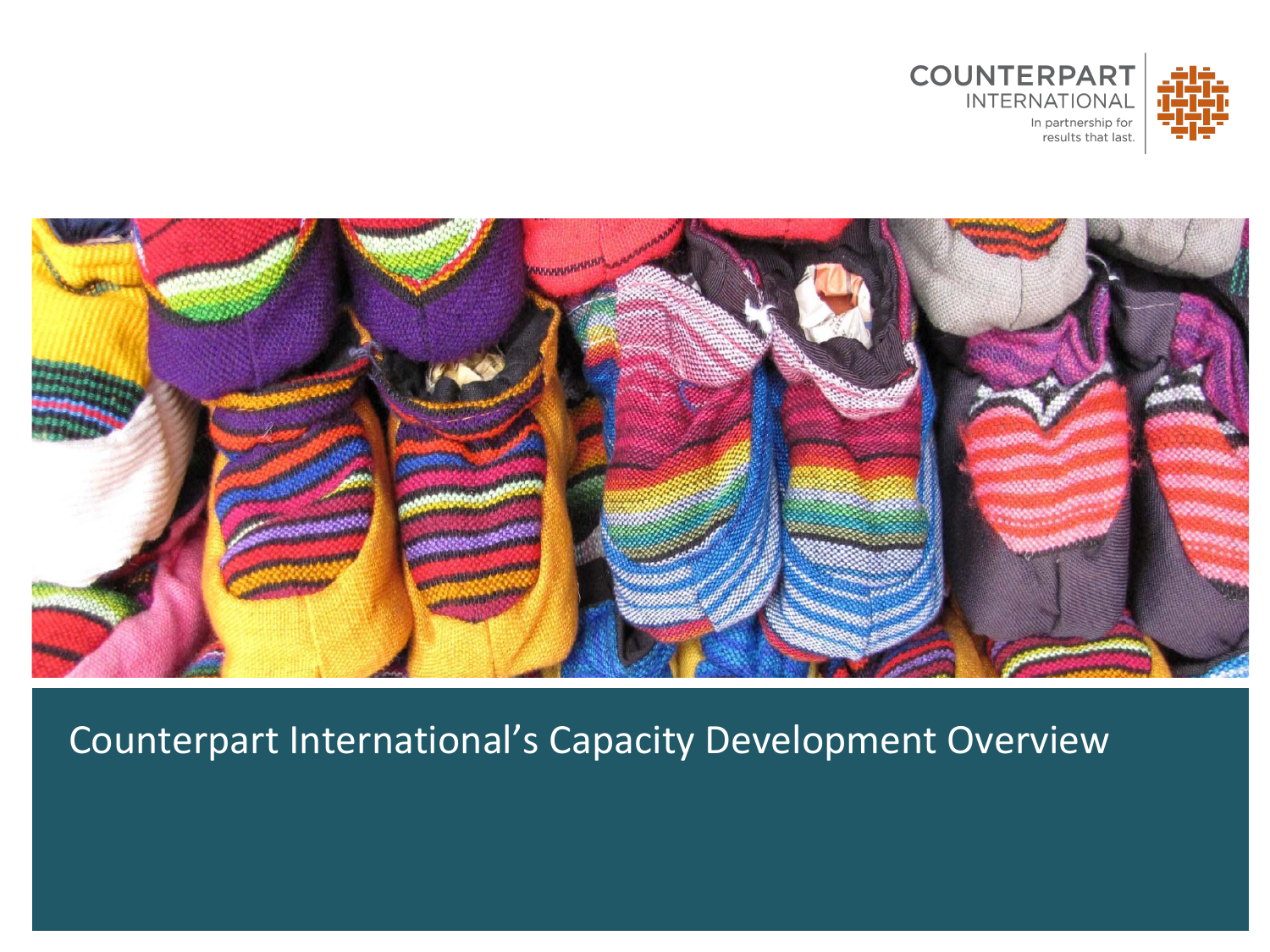



#### Counterpart International's Capacity Development Overview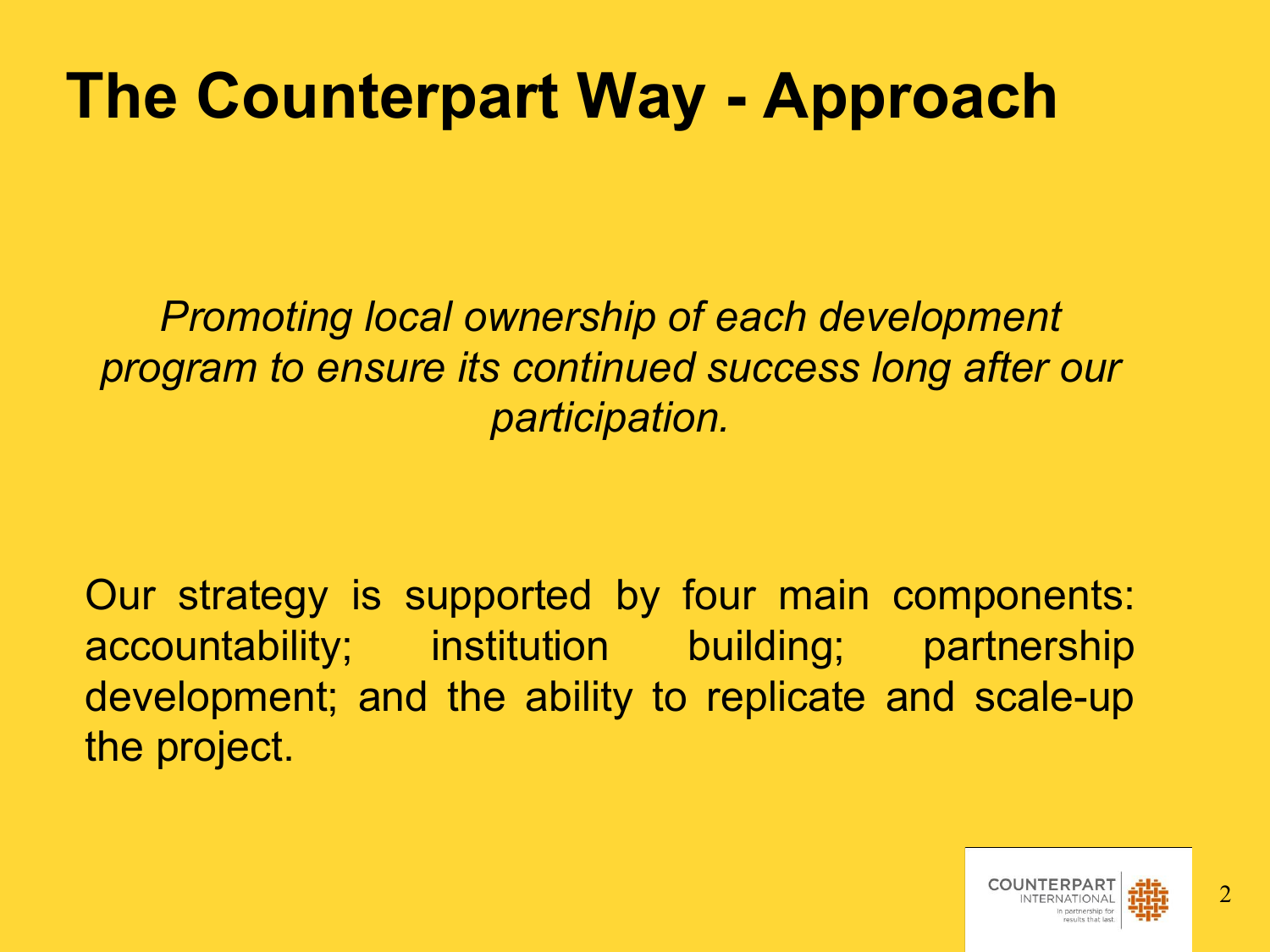### **The Counterpart Way - Approach**

*Promoting local ownership of each development program to ensure its continued success long after our participation.* 

Our strategy is supported by four main components: accountability; institution building; partnership development; and the ability to replicate and scale-up the project.

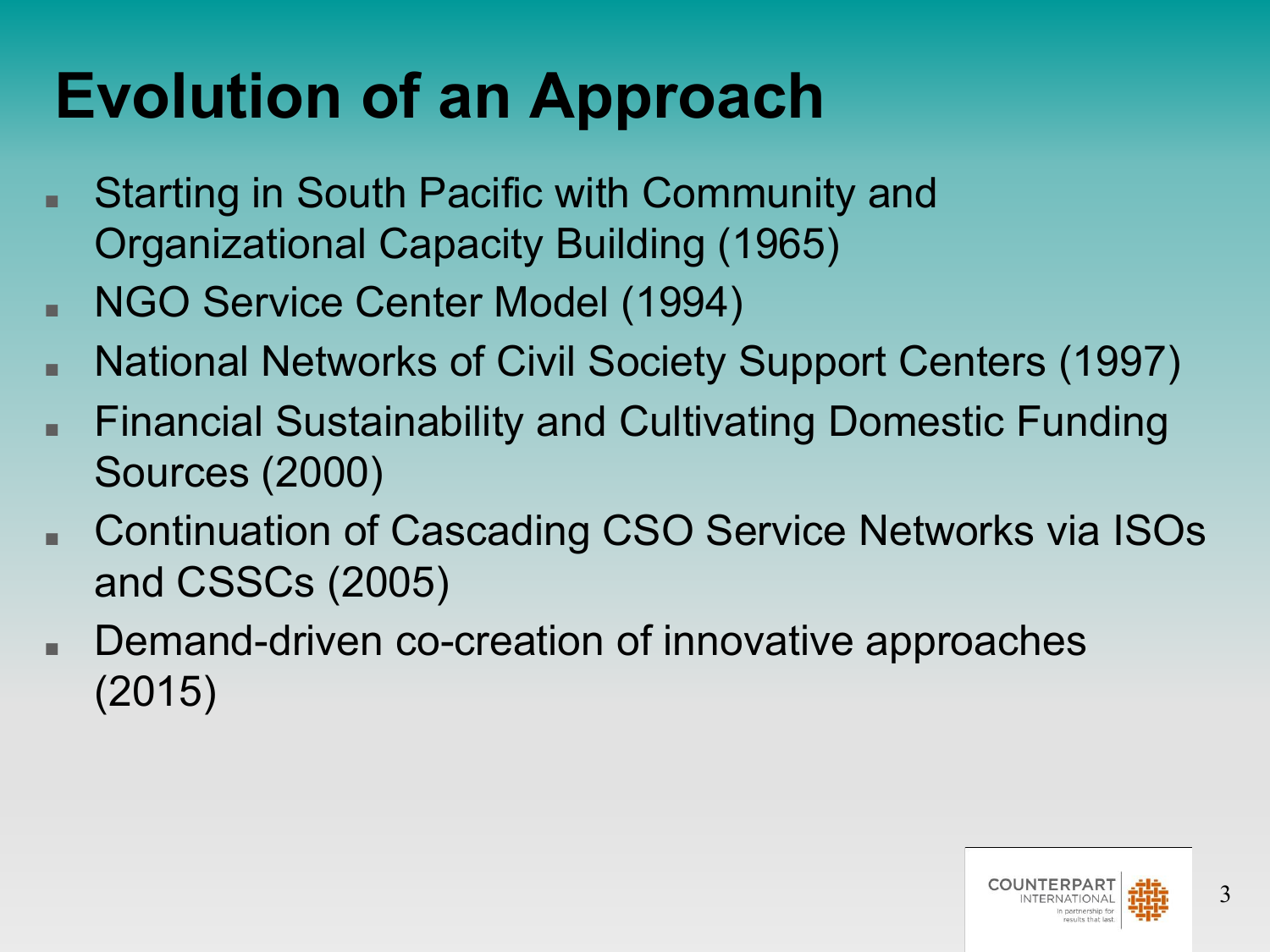# **Evolution of an Approach**

- Starting in South Pacific with Community and Organizational Capacity Building (1965)
- NGO Service Center Model (1994)
- National Networks of Civil Society Support Centers (1997)
- Financial Sustainability and Cultivating Domestic Funding Sources (2000)
- Continuation of Cascading CSO Service Networks via ISOs and CSSCs (2005)
- Demand-driven co-creation of innovative approaches (2015)

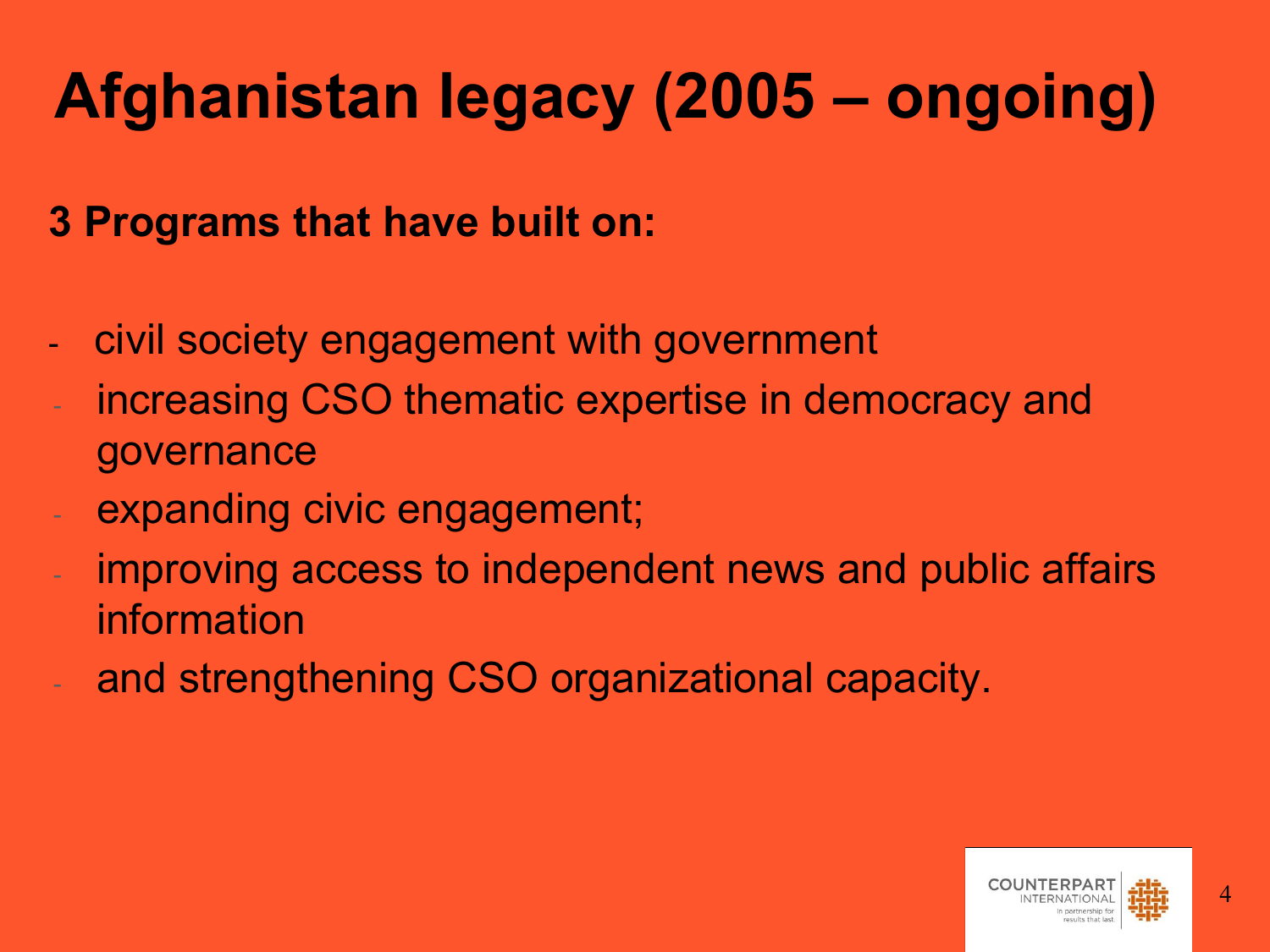# **Afghanistan legacy (2005 – ongoing)**

#### **3 Programs that have built on:**

- civil society engagement with government
- increasing CSO thematic expertise in democracy and governance
- expanding civic engagement;
- improving access to independent news and public affairs information
- and strengthening CSO organizational capacity.

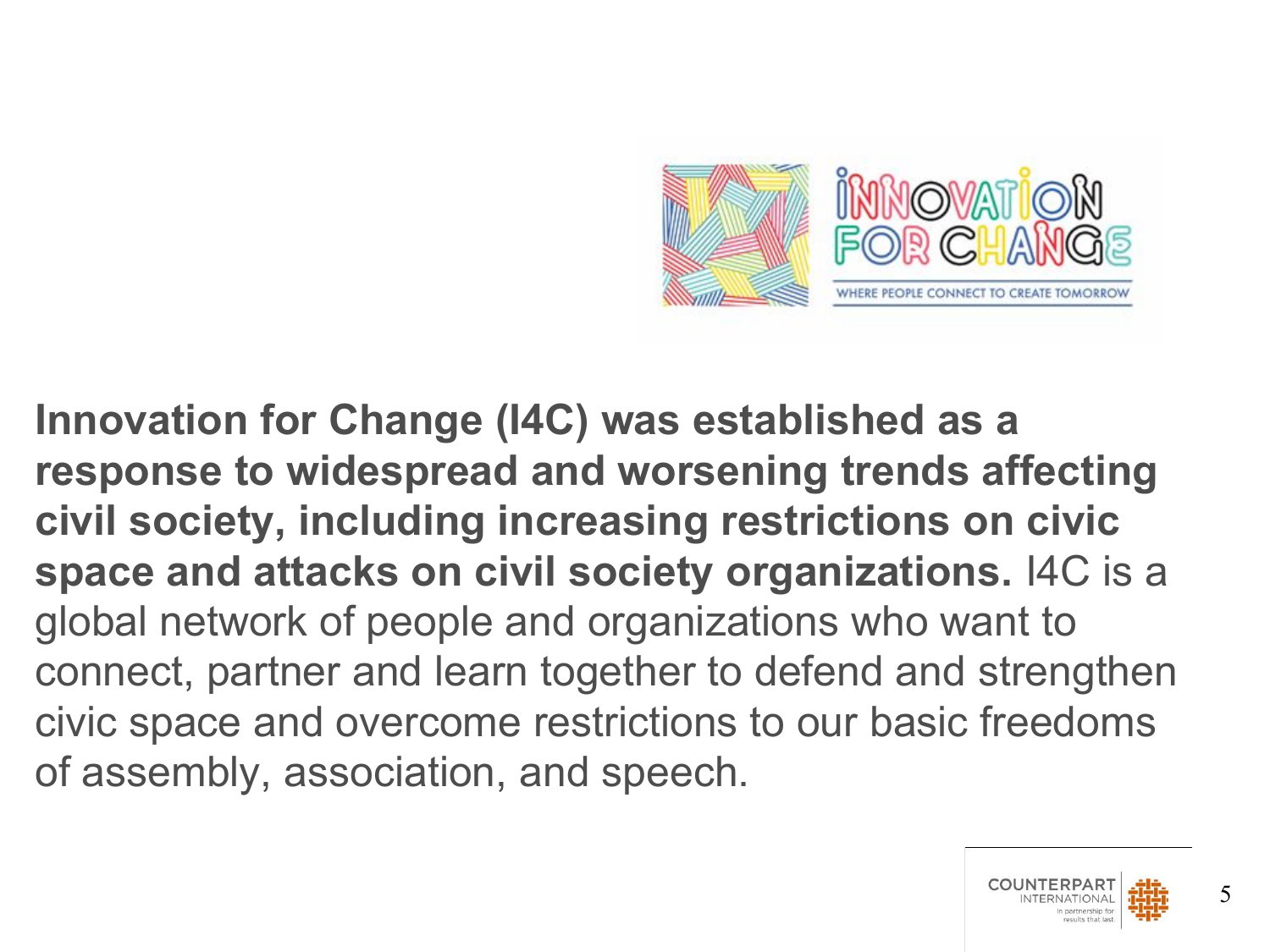

**Innovation for Change (I4C) was established as a response to widespread and worsening trends affecting civil society, including increasing restrictions on civic space and attacks on civil society organizations.** I4C is a global network of people and organizations who want to connect, partner and learn together to defend and strengthen civic space and overcome restrictions to our basic freedoms of assembly, association, and speech.